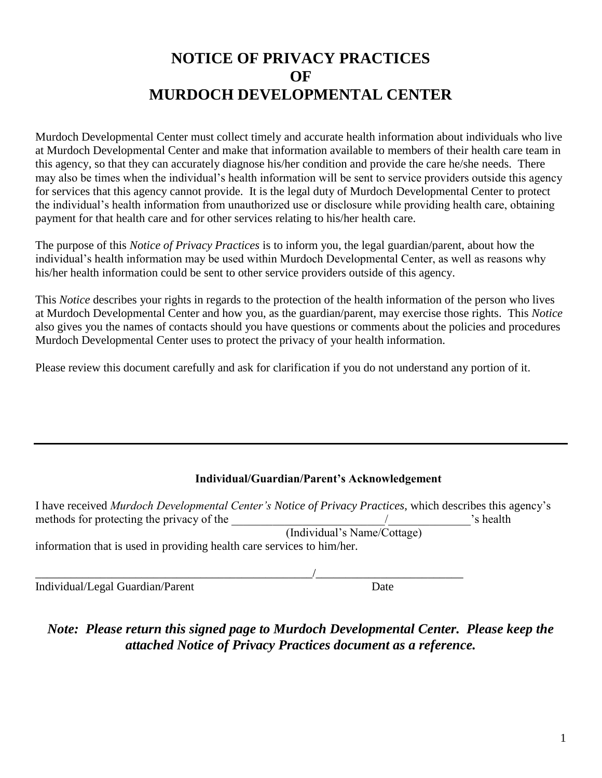# **NOTICE OF PRIVACY PRACTICES OF MURDOCH DEVELOPMENTAL CENTER**

Murdoch Developmental Center must collect timely and accurate health information about individuals who live at Murdoch Developmental Center and make that information available to members of their health care team in this agency, so that they can accurately diagnose his/her condition and provide the care he/she needs. There may also be times when the individual's health information will be sent to service providers outside this agency for services that this agency cannot provide. It is the legal duty of Murdoch Developmental Center to protect the individual's health information from unauthorized use or disclosure while providing health care, obtaining payment for that health care and for other services relating to his/her health care.

The purpose of this *Notice of Privacy Practices* is to inform you, the legal guardian/parent, about how the individual's health information may be used within Murdoch Developmental Center, as well as reasons why his/her health information could be sent to other service providers outside of this agency.

This *Notice* describes your rights in regards to the protection of the health information of the person who lives at Murdoch Developmental Center and how you, as the guardian/parent, may exercise those rights. This *Notice* also gives you the names of contacts should you have questions or comments about the policies and procedures Murdoch Developmental Center uses to protect the privacy of your health information.

Please review this document carefully and ask for clarification if you do not understand any portion of it.

#### **Individual/Guardian/Parent's Acknowledgement**

| I have received Murdoch Developmental Center's Notice of Privacy Practices, which describes this agency's |                             |           |
|-----------------------------------------------------------------------------------------------------------|-----------------------------|-----------|
| methods for protecting the privacy of the                                                                 |                             | 's health |
|                                                                                                           | (Individual's Name/Cottage) |           |
| information that is used in providing health care services to him/her.                                    |                             |           |
|                                                                                                           |                             |           |
|                                                                                                           |                             |           |

Individual/Legal Guardian/Parent Date

*Note: Please return this signed page to Murdoch Developmental Center. Please keep the attached Notice of Privacy Practices document as a reference.*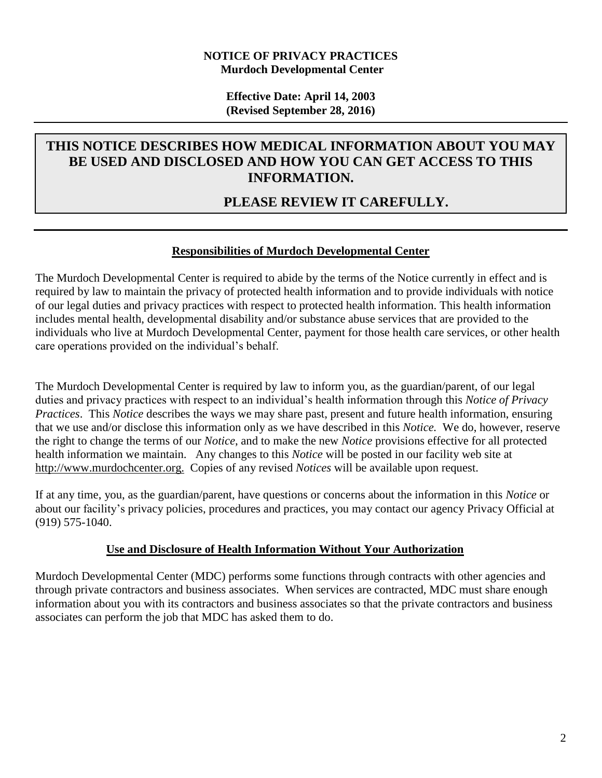#### **NOTICE OF PRIVACY PRACTICES Murdoch Developmental Center**

**Effective Date: April 14, 2003 (Revised September 28, 2016)**

## **THIS NOTICE DESCRIBES HOW MEDICAL INFORMATION ABOUT YOU MAY BE USED AND DISCLOSED AND HOW YOU CAN GET ACCESS TO THIS INFORMATION.**

# **PLEASE REVIEW IT CAREFULLY.**

#### **Responsibilities of Murdoch Developmental Center**

The Murdoch Developmental Center is required to abide by the terms of the Notice currently in effect and is required by law to maintain the privacy of protected health information and to provide individuals with notice of our legal duties and privacy practices with respect to protected health information. This health information includes mental health, developmental disability and/or substance abuse services that are provided to the individuals who live at Murdoch Developmental Center, payment for those health care services, or other health care operations provided on the individual's behalf.

The Murdoch Developmental Center is required by law to inform you, as the guardian/parent, of our legal duties and privacy practices with respect to an individual's health information through this *Notice of Privacy Practices*. This *Notice* describes the ways we may share past, present and future health information, ensuring that we use and/or disclose this information only as we have described in this *Notice.* We do, however, reserve the right to change the terms of our *Notice*, and to make the new *Notice* provisions effective for all protected health information we maintain. Any changes to this *Notice* will be posted in our facility web site at http://www.murdochcenter.org. Copies of any revised *Notices* will be available upon request.

If at any time, you, as the guardian/parent, have questions or concerns about the information in this *Notice* or about our facility's privacy policies, procedures and practices, you may contact our agency Privacy Official at (919) 575-1040.

#### **Use and Disclosure of Health Information Without Your Authorization**

Murdoch Developmental Center (MDC) performs some functions through contracts with other agencies and through private contractors and business associates. When services are contracted, MDC must share enough information about you with its contractors and business associates so that the private contractors and business associates can perform the job that MDC has asked them to do.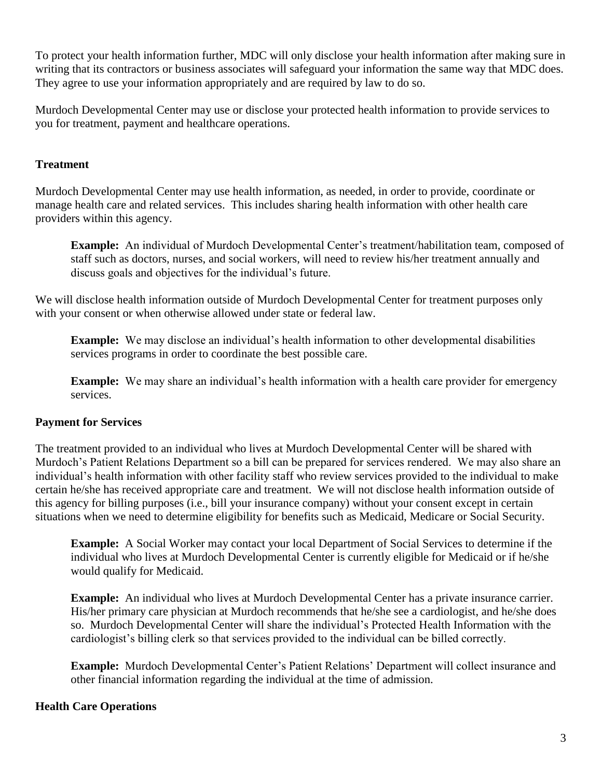To protect your health information further, MDC will only disclose your health information after making sure in writing that its contractors or business associates will safeguard your information the same way that MDC does. They agree to use your information appropriately and are required by law to do so.

Murdoch Developmental Center may use or disclose your protected health information to provide services to you for treatment, payment and healthcare operations.

## **Treatment**

Murdoch Developmental Center may use health information, as needed, in order to provide, coordinate or manage health care and related services. This includes sharing health information with other health care providers within this agency.

**Example:** An individual of Murdoch Developmental Center's treatment/habilitation team, composed of staff such as doctors, nurses, and social workers, will need to review his/her treatment annually and discuss goals and objectives for the individual's future.

We will disclose health information outside of Murdoch Developmental Center for treatment purposes only with your consent or when otherwise allowed under state or federal law.

**Example:** We may disclose an individual's health information to other developmental disabilities services programs in order to coordinate the best possible care.

**Example:** We may share an individual's health information with a health care provider for emergency services.

## **Payment for Services**

The treatment provided to an individual who lives at Murdoch Developmental Center will be shared with Murdoch's Patient Relations Department so a bill can be prepared for services rendered. We may also share an individual's health information with other facility staff who review services provided to the individual to make certain he/she has received appropriate care and treatment. We will not disclose health information outside of this agency for billing purposes (i.e., bill your insurance company) without your consent except in certain situations when we need to determine eligibility for benefits such as Medicaid, Medicare or Social Security.

**Example:** A Social Worker may contact your local Department of Social Services to determine if the individual who lives at Murdoch Developmental Center is currently eligible for Medicaid or if he/she would qualify for Medicaid.

**Example:** An individual who lives at Murdoch Developmental Center has a private insurance carrier. His/her primary care physician at Murdoch recommends that he/she see a cardiologist, and he/she does so. Murdoch Developmental Center will share the individual's Protected Health Information with the cardiologist's billing clerk so that services provided to the individual can be billed correctly.

**Example:** Murdoch Developmental Center's Patient Relations' Department will collect insurance and other financial information regarding the individual at the time of admission.

#### **Health Care Operations**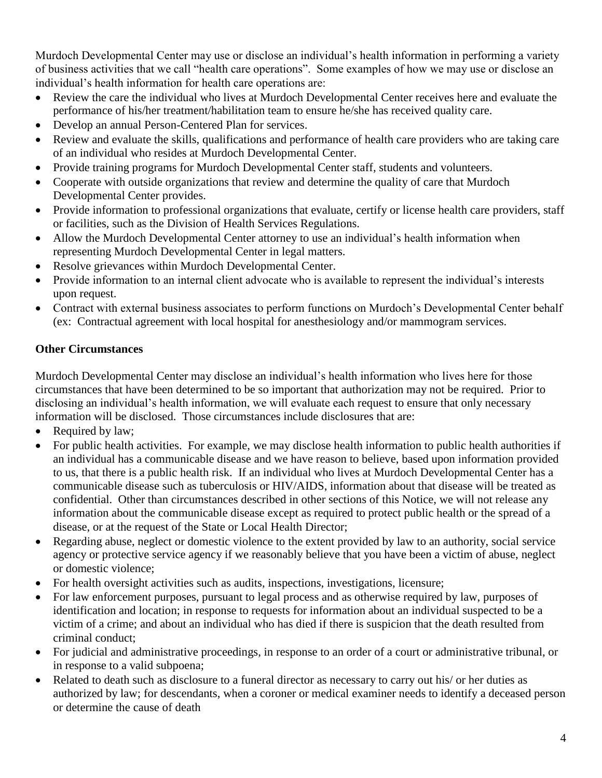Murdoch Developmental Center may use or disclose an individual's health information in performing a variety of business activities that we call "health care operations". Some examples of how we may use or disclose an individual's health information for health care operations are:

- Review the care the individual who lives at Murdoch Developmental Center receives here and evaluate the performance of his/her treatment/habilitation team to ensure he/she has received quality care.
- Develop an annual Person-Centered Plan for services.
- Review and evaluate the skills, qualifications and performance of health care providers who are taking care of an individual who resides at Murdoch Developmental Center.
- Provide training programs for Murdoch Developmental Center staff, students and volunteers.
- Cooperate with outside organizations that review and determine the quality of care that Murdoch Developmental Center provides.
- Provide information to professional organizations that evaluate, certify or license health care providers, staff or facilities, such as the Division of Health Services Regulations.
- Allow the Murdoch Developmental Center attorney to use an individual's health information when representing Murdoch Developmental Center in legal matters.
- Resolve grievances within Murdoch Developmental Center.
- Provide information to an internal client advocate who is available to represent the individual's interests upon request.
- Contract with external business associates to perform functions on Murdoch's Developmental Center behalf (ex: Contractual agreement with local hospital for anesthesiology and/or mammogram services.

## **Other Circumstances**

Murdoch Developmental Center may disclose an individual's health information who lives here for those circumstances that have been determined to be so important that authorization may not be required. Prior to disclosing an individual's health information, we will evaluate each request to ensure that only necessary information will be disclosed. Those circumstances include disclosures that are:

- Required by law;
- For public health activities. For example, we may disclose health information to public health authorities if an individual has a communicable disease and we have reason to believe, based upon information provided to us, that there is a public health risk. If an individual who lives at Murdoch Developmental Center has a communicable disease such as tuberculosis or HIV/AIDS, information about that disease will be treated as confidential. Other than circumstances described in other sections of this Notice, we will not release any information about the communicable disease except as required to protect public health or the spread of a disease, or at the request of the State or Local Health Director;
- Regarding abuse, neglect or domestic violence to the extent provided by law to an authority, social service agency or protective service agency if we reasonably believe that you have been a victim of abuse, neglect or domestic violence;
- For health oversight activities such as audits, inspections, investigations, licensure;
- For law enforcement purposes, pursuant to legal process and as otherwise required by law, purposes of identification and location; in response to requests for information about an individual suspected to be a victim of a crime; and about an individual who has died if there is suspicion that the death resulted from criminal conduct;
- For judicial and administrative proceedings, in response to an order of a court or administrative tribunal, or in response to a valid subpoena;
- Related to death such as disclosure to a funeral director as necessary to carry out his/ or her duties as authorized by law; for descendants, when a coroner or medical examiner needs to identify a deceased person or determine the cause of death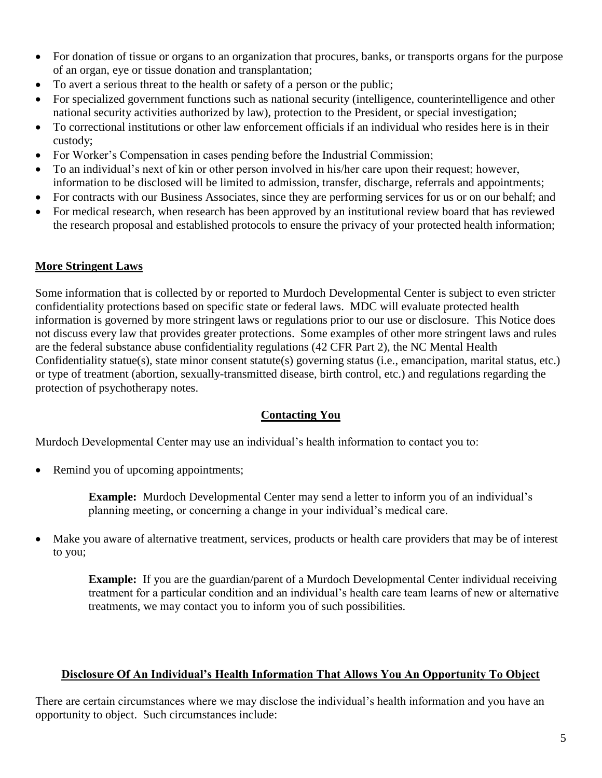- For donation of tissue or organs to an organization that procures, banks, or transports organs for the purpose of an organ, eye or tissue donation and transplantation;
- To avert a serious threat to the health or safety of a person or the public;
- For specialized government functions such as national security (intelligence, counterintelligence and other national security activities authorized by law), protection to the President, or special investigation;
- To correctional institutions or other law enforcement officials if an individual who resides here is in their custody;
- For Worker's Compensation in cases pending before the Industrial Commission;
- To an individual's next of kin or other person involved in his/her care upon their request; however, information to be disclosed will be limited to admission, transfer, discharge, referrals and appointments;
- For contracts with our Business Associates, since they are performing services for us or on our behalf; and
- For medical research, when research has been approved by an institutional review board that has reviewed the research proposal and established protocols to ensure the privacy of your protected health information;

## **More Stringent Laws**

Some information that is collected by or reported to Murdoch Developmental Center is subject to even stricter confidentiality protections based on specific state or federal laws. MDC will evaluate protected health information is governed by more stringent laws or regulations prior to our use or disclosure. This Notice does not discuss every law that provides greater protections. Some examples of other more stringent laws and rules are the federal substance abuse confidentiality regulations (42 CFR Part 2), the NC Mental Health Confidentiality statue(s), state minor consent statute(s) governing status (i.e., emancipation, marital status, etc.) or type of treatment (abortion, sexually-transmitted disease, birth control, etc.) and regulations regarding the protection of psychotherapy notes.

## **Contacting You**

Murdoch Developmental Center may use an individual's health information to contact you to:

• Remind you of upcoming appointments;

**Example:** Murdoch Developmental Center may send a letter to inform you of an individual's planning meeting, or concerning a change in your individual's medical care.

 Make you aware of alternative treatment, services, products or health care providers that may be of interest to you;

**Example:** If you are the guardian/parent of a Murdoch Developmental Center individual receiving treatment for a particular condition and an individual's health care team learns of new or alternative treatments, we may contact you to inform you of such possibilities.

## **Disclosure Of An Individual's Health Information That Allows You An Opportunity To Object**

There are certain circumstances where we may disclose the individual's health information and you have an opportunity to object. Such circumstances include: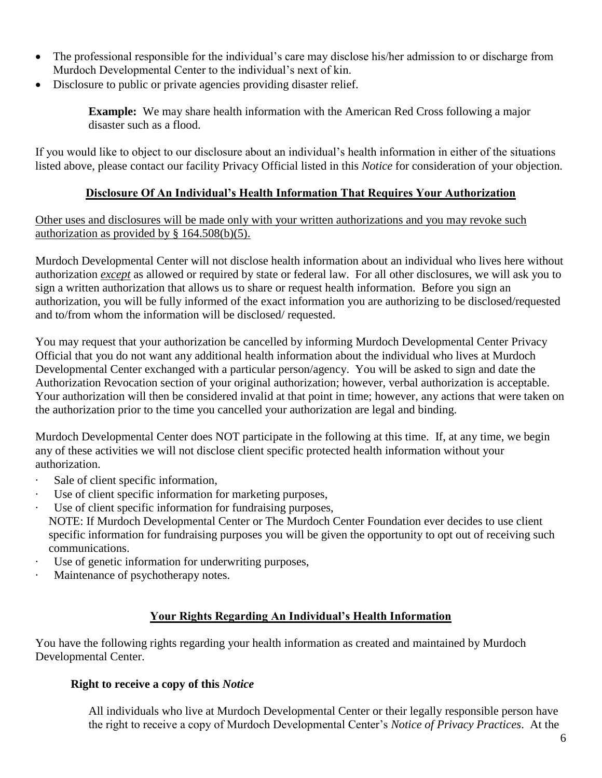- The professional responsible for the individual's care may disclose his/her admission to or discharge from Murdoch Developmental Center to the individual's next of kin.
- Disclosure to public or private agencies providing disaster relief.

**Example:** We may share health information with the American Red Cross following a major disaster such as a flood.

If you would like to object to our disclosure about an individual's health information in either of the situations listed above, please contact our facility Privacy Official listed in this *Notice* for consideration of your objection*.*

## **Disclosure Of An Individual's Health Information That Requires Your Authorization**

Other uses and disclosures will be made only with your written authorizations and you may revoke such authorization as provided by § 164.508(b)(5).

Murdoch Developmental Center will not disclose health information about an individual who lives here without authorization *except* as allowed or required by state or federal law. For all other disclosures, we will ask you to sign a written authorization that allows us to share or request health information. Before you sign an authorization, you will be fully informed of the exact information you are authorizing to be disclosed/requested and to/from whom the information will be disclosed/ requested.

You may request that your authorization be cancelled by informing Murdoch Developmental Center Privacy Official that you do not want any additional health information about the individual who lives at Murdoch Developmental Center exchanged with a particular person/agency. You will be asked to sign and date the Authorization Revocation section of your original authorization; however, verbal authorization is acceptable. Your authorization will then be considered invalid at that point in time; however, any actions that were taken on the authorization prior to the time you cancelled your authorization are legal and binding.

Murdoch Developmental Center does NOT participate in the following at this time. If, at any time, we begin any of these activities we will not disclose client specific protected health information without your authorization.

- Sale of client specific information,
- · Use of client specific information for marketing purposes,
- Use of client specific information for fundraising purposes,

NOTE: If Murdoch Developmental Center or The Murdoch Center Foundation ever decides to use client specific information for fundraising purposes you will be given the opportunity to opt out of receiving such communications.

- · Use of genetic information for underwriting purposes,
- · Maintenance of psychotherapy notes.

#### **Your Rights Regarding An Individual's Health Information**

You have the following rights regarding your health information as created and maintained by Murdoch Developmental Center.

#### **Right to receive a copy of this** *Notice*

All individuals who live at Murdoch Developmental Center or their legally responsible person have the right to receive a copy of Murdoch Developmental Center's *Notice of Privacy Practices*.At the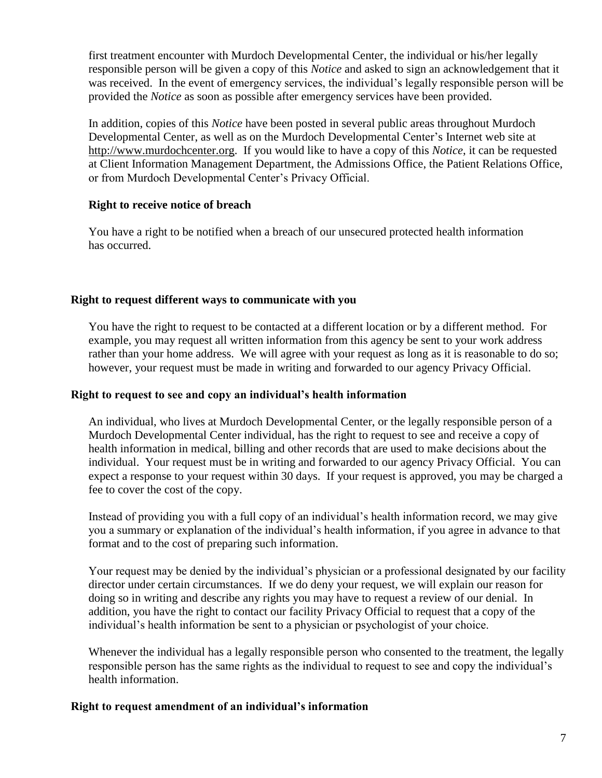first treatment encounter with Murdoch Developmental Center, the individual or his/her legally responsible person will be given a copy of this *Notice* and asked to sign an acknowledgement that it was received. In the event of emergency services, the individual's legally responsible person will be provided the *Notice* as soon as possible after emergency services have been provided.

In addition, copies of this *Notice* have been posted in several public areas throughout Murdoch Developmental Center, as well as on the Murdoch Developmental Center's Internet web site at http://www.murdochcenter.org. If you would like to have a copy of this *Notice*, it can be requested at Client Information Management Department, the Admissions Office, the Patient Relations Office, or from Murdoch Developmental Center's Privacy Official.

#### **Right to receive notice of breach**

You have a right to be notified when a breach of our unsecured protected health information has occurred.

## **Right to request different ways to communicate with you**

You have the right to request to be contacted at a different location or by a different method. For example, you may request all written information from this agency be sent to your work address rather than your home address. We will agree with your request as long as it is reasonable to do so; however, your request must be made in writing and forwarded to our agency Privacy Official.

## **Right to request to see and copy an individual's health information**

An individual, who lives at Murdoch Developmental Center, or the legally responsible person of a Murdoch Developmental Center individual, has the right to request to see and receive a copy of health information in medical, billing and other records that are used to make decisions about the individual. Your request must be in writing and forwarded to our agency Privacy Official. You can expect a response to your request within 30 days. If your request is approved, you may be charged a fee to cover the cost of the copy.

Instead of providing you with a full copy of an individual's health information record, we may give you a summary or explanation of the individual's health information, if you agree in advance to that format and to the cost of preparing such information.

Your request may be denied by the individual's physician or a professional designated by our facility director under certain circumstances. If we do deny your request, we will explain our reason for doing so in writing and describe any rights you may have to request a review of our denial. In addition, you have the right to contact our facility Privacy Official to request that a copy of the individual's health information be sent to a physician or psychologist of your choice.

Whenever the individual has a legally responsible person who consented to the treatment, the legally responsible person has the same rights as the individual to request to see and copy the individual's health information.

#### **Right to request amendment of an individual's information**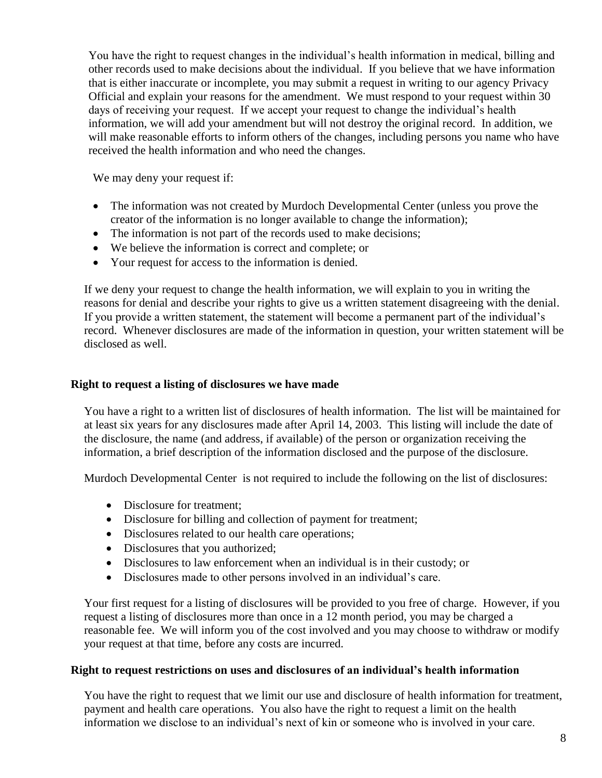You have the right to request changes in the individual's health information in medical, billing and other records used to make decisions about the individual. If you believe that we have information that is either inaccurate or incomplete, you may submit a request in writing to our agency Privacy Official and explain your reasons for the amendment. We must respond to your request within 30 days of receiving your request. If we accept your request to change the individual's health information, we will add your amendment but will not destroy the original record. In addition, we will make reasonable efforts to inform others of the changes, including persons you name who have received the health information and who need the changes.

We may deny your request if:

- The information was not created by Murdoch Developmental Center (unless you prove the creator of the information is no longer available to change the information);
- The information is not part of the records used to make decisions;
- We believe the information is correct and complete; or
- Your request for access to the information is denied.

If we deny your request to change the health information, we will explain to you in writing the reasons for denial and describe your rights to give us a written statement disagreeing with the denial. If you provide a written statement, the statement will become a permanent part of the individual's record. Whenever disclosures are made of the information in question, your written statement will be disclosed as well.

#### **Right to request a listing of disclosures we have made**

You have a right to a written list of disclosures of health information. The list will be maintained for at least six years for any disclosures made after April 14, 2003. This listing will include the date of the disclosure, the name (and address, if available) of the person or organization receiving the information, a brief description of the information disclosed and the purpose of the disclosure.

Murdoch Developmental Center is not required to include the following on the list of disclosures:

- Disclosure for treatment:
- Disclosure for billing and collection of payment for treatment;
- Disclosures related to our health care operations;
- Disclosures that you authorized;
- Disclosures to law enforcement when an individual is in their custody; or
- Disclosures made to other persons involved in an individual's care.

Your first request for a listing of disclosures will be provided to you free of charge. However, if you request a listing of disclosures more than once in a 12 month period, you may be charged a reasonable fee. We will inform you of the cost involved and you may choose to withdraw or modify your request at that time, before any costs are incurred.

#### **Right to request restrictions on uses and disclosures of an individual's health information**

You have the right to request that we limit our use and disclosure of health information for treatment, payment and health care operations. You also have the right to request a limit on the health information we disclose to an individual's next of kin or someone who is involved in your care.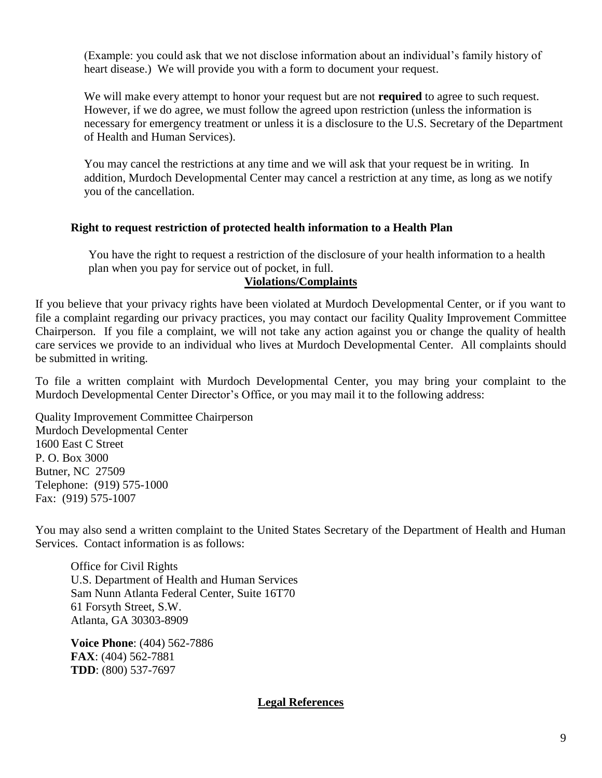(Example: you could ask that we not disclose information about an individual's family history of heart disease.) We will provide you with a form to document your request.

We will make every attempt to honor your request but are not **required** to agree to such request. However, if we do agree, we must follow the agreed upon restriction (unless the information is necessary for emergency treatment or unless it is a disclosure to the U.S. Secretary of the Department of Health and Human Services).

You may cancel the restrictions at any time and we will ask that your request be in writing. In addition, Murdoch Developmental Center may cancel a restriction at any time, as long as we notify you of the cancellation.

#### **Right to request restriction of protected health information to a Health Plan**

You have the right to request a restriction of the disclosure of your health information to a health plan when you pay for service out of pocket, in full.

#### **Violations/Complaints**

If you believe that your privacy rights have been violated at Murdoch Developmental Center, or if you want to file a complaint regarding our privacy practices, you may contact our facility Quality Improvement Committee Chairperson. If you file a complaint, we will not take any action against you or change the quality of health care services we provide to an individual who lives at Murdoch Developmental Center. All complaints should be submitted in writing.

To file a written complaint with Murdoch Developmental Center, you may bring your complaint to the Murdoch Developmental Center Director's Office, or you may mail it to the following address:

Quality Improvement Committee Chairperson Murdoch Developmental Center 1600 East C Street P. O. Box 3000 Butner, NC 27509 Telephone: (919) 575-1000 Fax: (919) 575-1007

You may also send a written complaint to the United States Secretary of the Department of Health and Human Services. Contact information is as follows:

Office for Civil Rights U.S. Department of Health and Human Services Sam Nunn Atlanta Federal Center, Suite 16T70 61 Forsyth Street, S.W. Atlanta, GA 30303-8909

**Voice Phone**: (404) 562-7886 **FAX**: (404) 562-7881 **TDD**: (800) 537-7697

#### **Legal References**